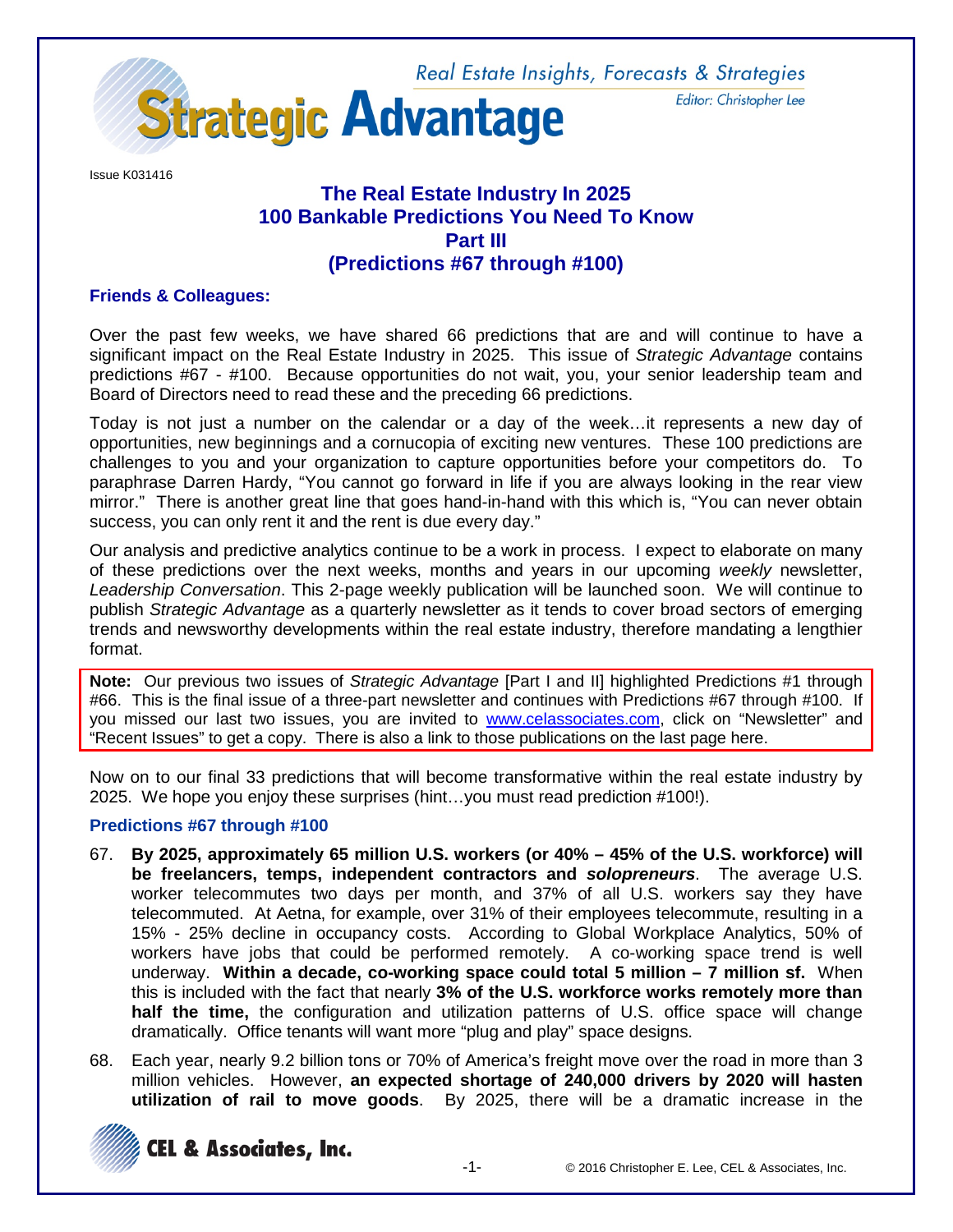Real Estate Insights, Forecasts & Strategies Editor: Christopher Lee



Issue K031416

# **The Real Estate Industry In 2025 100 Bankable Predictions You Need To Know Part III (Predictions #67 through #100)**

## **Friends & Colleagues:**

Over the past few weeks, we have shared 66 predictions that are and will continue to have a significant impact on the Real Estate Industry in 2025. This issue of *Strategic Advantage* contains predictions #67 - #100. Because opportunities do not wait, you, your senior leadership team and Board of Directors need to read these and the preceding 66 predictions.

Today is not just a number on the calendar or a day of the week…it represents a new day of opportunities, new beginnings and a cornucopia of exciting new ventures. These 100 predictions are challenges to you and your organization to capture opportunities before your competitors do. To paraphrase Darren Hardy, "You cannot go forward in life if you are always looking in the rear view mirror." There is another great line that goes hand-in-hand with this which is, "You can never obtain success, you can only rent it and the rent is due every day."

Our analysis and predictive analytics continue to be a work in process. I expect to elaborate on many of these predictions over the next weeks, months and years in our upcoming *weekly* newsletter, *Leadership Conversation*. This 2-page weekly publication will be launched soon. We will continue to publish *Strategic Advantage* as a quarterly newsletter as it tends to cover broad sectors of emerging trends and newsworthy developments within the real estate industry, therefore mandating a lengthier format.

**Note:** Our previous two issues of *Strategic Advantage* [Part I and II] highlighted Predictions #1 through #66. This is the final issue of a three-part newsletter and continues with Predictions #67 through #100. If you missed our last two issues, you are invited to [www.celassociates.com,](http://www.celassociates.com/) click on "Newsletter" and "Recent Issues" to get a copy. There is also a link to those publications on the last page here.

Now on to our final 33 predictions that will become transformative within the real estate industry by 2025. We hope you enjoy these surprises (hint…you must read prediction #100!).

#### **Predictions #67 through #100**

- 67. **By 2025, approximately 65 million U.S. workers (or 40% – 45% of the U.S. workforce) will be freelancers, temps, independent contractors and** *solopreneurs*. The average U.S. worker telecommutes two days per month, and 37% of all U.S. workers say they have telecommuted. At Aetna, for example, over 31% of their employees telecommute, resulting in a 15% - 25% decline in occupancy costs. According to Global Workplace Analytics, 50% of workers have jobs that could be performed remotely. A co-working space trend is well underway. **Within a decade, co-working space could total 5 million – 7 million sf.** When this is included with the fact that nearly **3% of the U.S. workforce works remotely more than half the time,** the configuration and utilization patterns of U.S. office space will change dramatically. Office tenants will want more "plug and play" space designs.
- 68. Each year, nearly 9.2 billion tons or 70% of America's freight move over the road in more than 3 million vehicles. However, **an expected shortage of 240,000 drivers by 2020 will hasten utilization of rail to move goods**. By 2025, there will be a dramatic increase in the

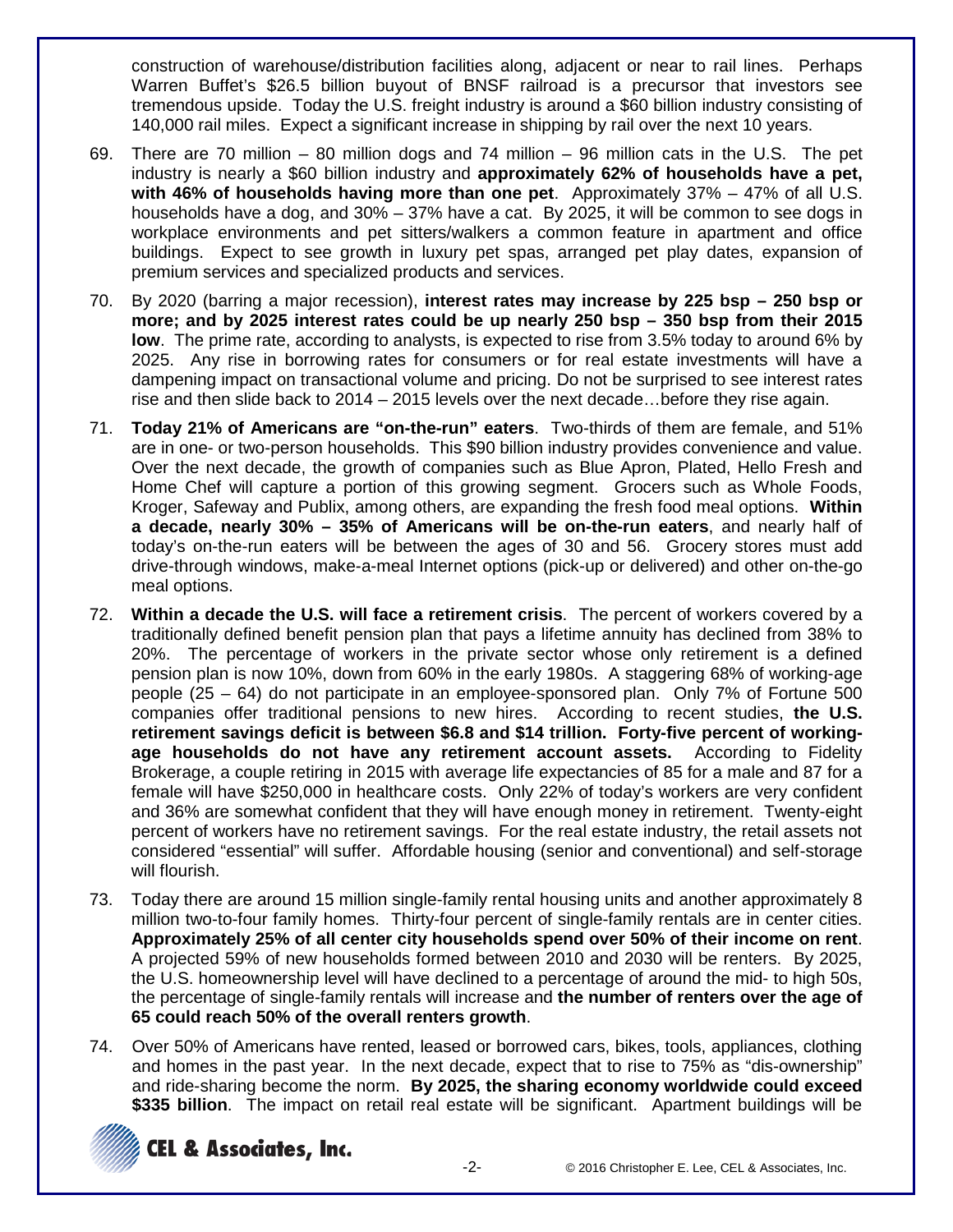construction of warehouse/distribution facilities along, adjacent or near to rail lines. Perhaps Warren Buffet's \$26.5 billion buyout of BNSF railroad is a precursor that investors see tremendous upside. Today the U.S. freight industry is around a \$60 billion industry consisting of 140,000 rail miles. Expect a significant increase in shipping by rail over the next 10 years.

- 69. There are 70 million 80 million dogs and 74 million 96 million cats in the U.S. The pet industry is nearly a \$60 billion industry and **approximately 62% of households have a pet, with 46% of households having more than one pet**. Approximately 37% – 47% of all U.S. households have a dog, and 30% – 37% have a cat. By 2025, it will be common to see dogs in workplace environments and pet sitters/walkers a common feature in apartment and office buildings. Expect to see growth in luxury pet spas, arranged pet play dates, expansion of premium services and specialized products and services.
- 70. By 2020 (barring a major recession), **interest rates may increase by 225 bsp – 250 bsp or more; and by 2025 interest rates could be up nearly 250 bsp – 350 bsp from their 2015 low**. The prime rate, according to analysts, is expected to rise from 3.5% today to around 6% by 2025. Any rise in borrowing rates for consumers or for real estate investments will have a dampening impact on transactional volume and pricing. Do not be surprised to see interest rates rise and then slide back to 2014 – 2015 levels over the next decade…before they rise again.
- 71. **Today 21% of Americans are "on-the-run" eaters**. Two-thirds of them are female, and 51% are in one- or two-person households. This \$90 billion industry provides convenience and value. Over the next decade, the growth of companies such as Blue Apron, Plated, Hello Fresh and Home Chef will capture a portion of this growing segment. Grocers such as Whole Foods, Kroger, Safeway and Publix, among others, are expanding the fresh food meal options. **Within a decade, nearly 30% – 35% of Americans will be on-the-run eaters**, and nearly half of today's on-the-run eaters will be between the ages of 30 and 56. Grocery stores must add drive-through windows, make-a-meal Internet options (pick-up or delivered) and other on-the-go meal options.
- 72. **Within a decade the U.S. will face a retirement crisis**. The percent of workers covered by a traditionally defined benefit pension plan that pays a lifetime annuity has declined from 38% to 20%. The percentage of workers in the private sector whose only retirement is a defined pension plan is now 10%, down from 60% in the early 1980s. A staggering 68% of working-age people (25 – 64) do not participate in an employee-sponsored plan. Only 7% of Fortune 500 companies offer traditional pensions to new hires. According to recent studies, **the U.S. retirement savings deficit is between \$6.8 and \$14 trillion. Forty-five percent of workingage households do not have any retirement account assets.** According to Fidelity Brokerage, a couple retiring in 2015 with average life expectancies of 85 for a male and 87 for a female will have \$250,000 in healthcare costs. Only 22% of today's workers are very confident and 36% are somewhat confident that they will have enough money in retirement. Twenty-eight percent of workers have no retirement savings. For the real estate industry, the retail assets not considered "essential" will suffer. Affordable housing (senior and conventional) and self-storage will flourish.
- 73. Today there are around 15 million single-family rental housing units and another approximately 8 million two-to-four family homes. Thirty-four percent of single-family rentals are in center cities. **Approximately 25% of all center city households spend over 50% of their income on rent**. A projected 59% of new households formed between 2010 and 2030 will be renters. By 2025, the U.S. homeownership level will have declined to a percentage of around the mid- to high 50s, the percentage of single-family rentals will increase and **the number of renters over the age of 65 could reach 50% of the overall renters growth**.
- 74. Over 50% of Americans have rented, leased or borrowed cars, bikes, tools, appliances, clothing and homes in the past year. In the next decade, expect that to rise to 75% as "dis-ownership" and ride-sharing become the norm. **By 2025, the sharing economy worldwide could exceed \$335 billion**. The impact on retail real estate will be significant. Apartment buildings will be



**CEL & Associates, Inc.**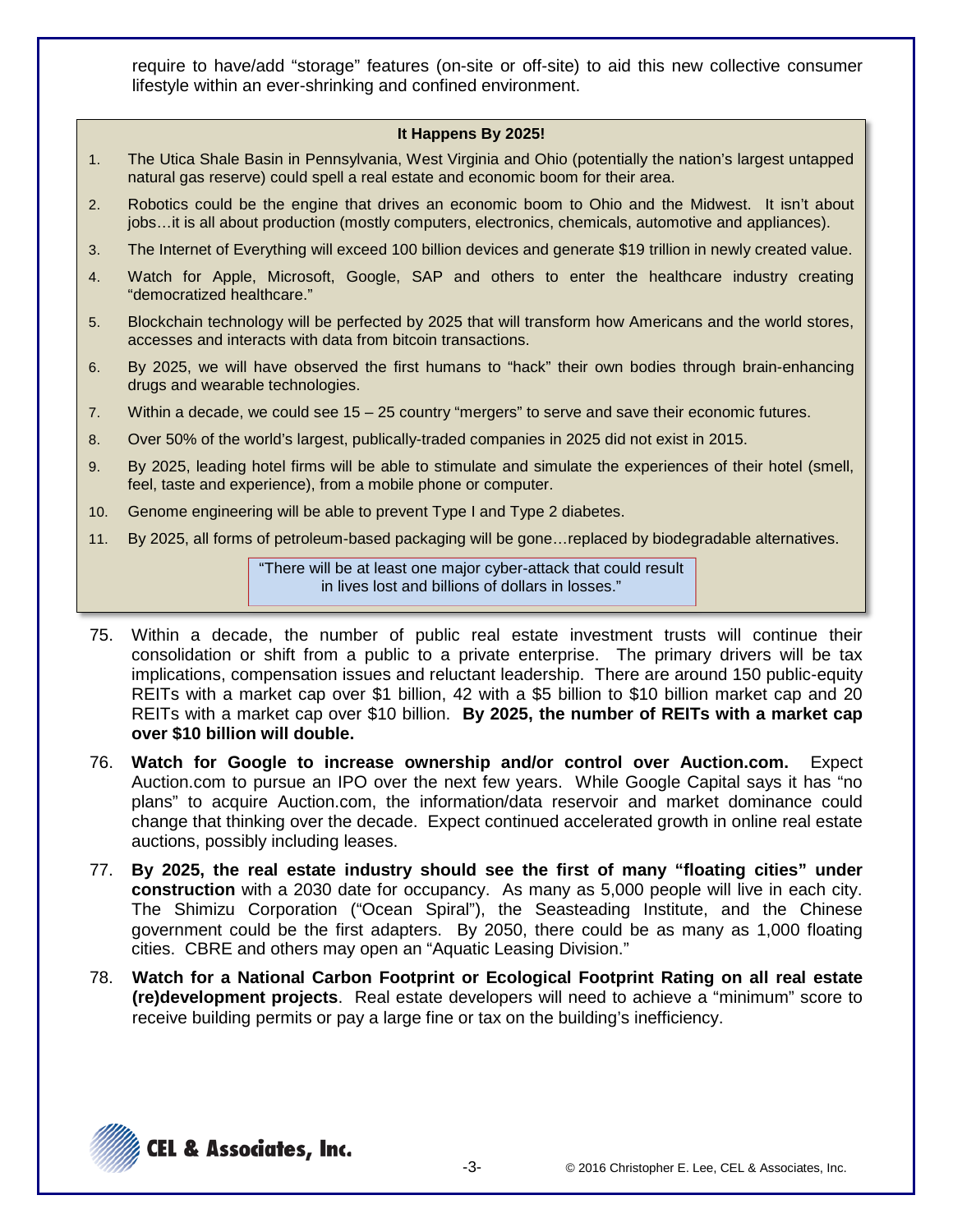require to have/add "storage" features (on-site or off-site) to aid this new collective consumer lifestyle within an ever-shrinking and confined environment.

#### **It Happens By 2025!**

- 1. The Utica Shale Basin in Pennsylvania, West Virginia and Ohio (potentially the nation's largest untapped natural gas reserve) could spell a real estate and economic boom for their area.
- 2. Robotics could be the engine that drives an economic boom to Ohio and the Midwest. It isn't about jobs…it is all about production (mostly computers, electronics, chemicals, automotive and appliances).
- 3. The Internet of Everything will exceed 100 billion devices and generate \$19 trillion in newly created value.
- 4. Watch for Apple, Microsoft, Google, SAP and others to enter the healthcare industry creating "democratized healthcare."
- 5. Blockchain technology will be perfected by 2025 that will transform how Americans and the world stores, accesses and interacts with data from bitcoin transactions.
- 6. By 2025, we will have observed the first humans to "hack" their own bodies through brain-enhancing drugs and wearable technologies.
- 7. Within a decade, we could see 15 25 country "mergers" to serve and save their economic futures.
- 8. Over 50% of the world's largest, publically-traded companies in 2025 did not exist in 2015.
- 9. By 2025, leading hotel firms will be able to stimulate and simulate the experiences of their hotel (smell, feel, taste and experience), from a mobile phone or computer.
- 10. Genome engineering will be able to prevent Type I and Type 2 diabetes.
- 11. By 2025, all forms of petroleum-based packaging will be gone…replaced by biodegradable alternatives.

"There will be at least one major cyber-attack that could result in lives lost and billions of dollars in losses."

- 75. Within a decade, the number of public real estate investment trusts will continue their consolidation or shift from a public to a private enterprise. The primary drivers will be tax implications, compensation issues and reluctant leadership. There are around 150 public-equity REITs with a market cap over \$1 billion, 42 with a \$5 billion to \$10 billion market cap and 20 REITs with a market cap over \$10 billion. **By 2025, the number of REITs with a market cap over \$10 billion will double.**
- 76. **Watch for Google to increase ownership and/or control over Auction.com.** Expect Auction.com to pursue an IPO over the next few years. While Google Capital says it has "no plans" to acquire Auction.com, the information/data reservoir and market dominance could change that thinking over the decade. Expect continued accelerated growth in online real estate auctions, possibly including leases.
- 77. **By 2025, the real estate industry should see the first of many "floating cities" under construction** with a 2030 date for occupancy. As many as 5,000 people will live in each city. The Shimizu Corporation ("Ocean Spiral"), the Seasteading Institute, and the Chinese government could be the first adapters. By 2050, there could be as many as 1,000 floating cities. CBRE and others may open an "Aquatic Leasing Division."
- 78. **Watch for a National Carbon Footprint or Ecological Footprint Rating on all real estate (re)development projects**. Real estate developers will need to achieve a "minimum" score to receive building permits or pay a large fine or tax on the building's inefficiency.

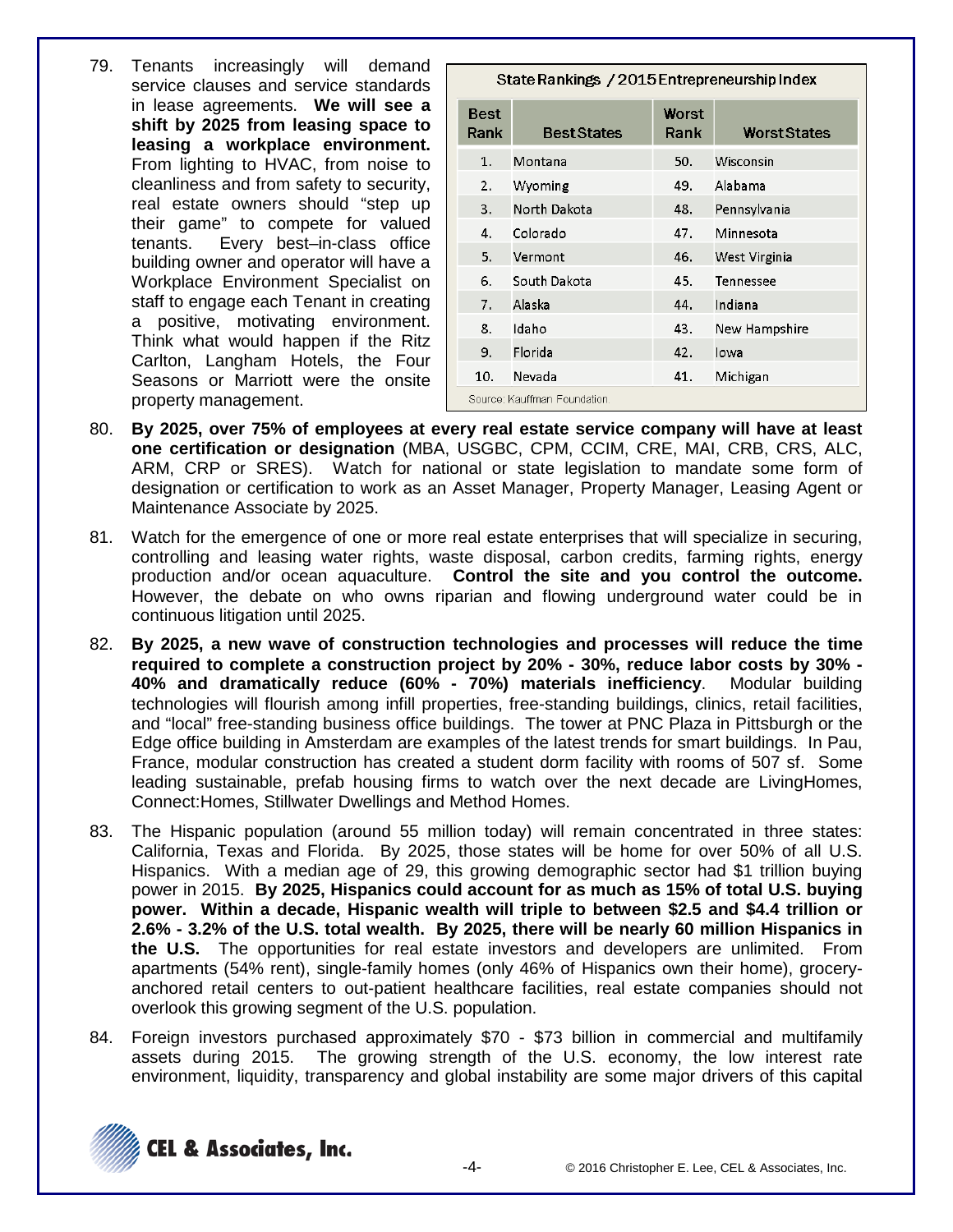79. Tenants increasingly will demand service clauses and service standards in lease agreements. **We will see a shift by 2025 from leasing space to leasing a workplace environment.** From lighting to HVAC, from noise to cleanliness and from safety to security, real estate owners should "step up their game" to compete for valued tenants. Every best–in-class office building owner and operator will have a Workplace Environment Specialist on staff to engage each Tenant in creating a positive, motivating environment. Think what would happen if the Ritz Carlton, Langham Hotels, the Four Seasons or Marriott were the onsite property management.

| State Rankings / 2015 Entrepreneurship Index |                    |               |                     |  |
|----------------------------------------------|--------------------|---------------|---------------------|--|
| <b>Best</b><br>Rank                          | <b>Best States</b> | Worst<br>Rank | <b>Worst States</b> |  |
| 1.                                           | Montana            | 50.           | Wisconsin           |  |
| 2.                                           | Wyoming            | 49.           | Alabama             |  |
| 3.                                           | North Dakota       | 48.           | Pennsylvania        |  |
| 4.                                           | Colorado           | 47.           | Minnesota           |  |
| 5.                                           | Vermont            | 46.           | West Virginia       |  |
| 6.                                           | South Dakota       | 45.           | Tennessee           |  |
| 7.                                           | Alaska             | 44.           | Indiana             |  |
| 8.                                           | Idaho              | 43.           | New Hampshire       |  |
| 9.                                           | Florida            | 42.           | Iowa                |  |
| 10.                                          | Nevada             | 41.           | Michigan            |  |
| Source: Kauffman Foundation.                 |                    |               |                     |  |

- 80. **By 2025, over 75% of employees at every real estate service company will have at least one certification or designation** (MBA, USGBC, CPM, CCIM, CRE, MAI, CRB, CRS, ALC, ARM, CRP or SRES). Watch for national or state legislation to mandate some form of designation or certification to work as an Asset Manager, Property Manager, Leasing Agent or Maintenance Associate by 2025.
- 81. Watch for the emergence of one or more real estate enterprises that will specialize in securing, controlling and leasing water rights, waste disposal, carbon credits, farming rights, energy production and/or ocean aquaculture. **Control the site and you control the outcome.** However, the debate on who owns riparian and flowing underground water could be in continuous litigation until 2025.
- 82. **By 2025, a new wave of construction technologies and processes will reduce the time required to complete a construction project by 20% - 30%, reduce labor costs by 30% - 40% and dramatically reduce (60% - 70%) materials inefficiency**. Modular building technologies will flourish among infill properties, free-standing buildings, clinics, retail facilities, and "local" free-standing business office buildings. The tower at PNC Plaza in Pittsburgh or the Edge office building in Amsterdam are examples of the latest trends for smart buildings. In Pau, France, modular construction has created a student dorm facility with rooms of 507 sf. Some leading sustainable, prefab housing firms to watch over the next decade are LivingHomes, Connect:Homes, Stillwater Dwellings and Method Homes.
- 83. The Hispanic population (around 55 million today) will remain concentrated in three states: California, Texas and Florida. By 2025, those states will be home for over 50% of all U.S. Hispanics. With a median age of 29, this growing demographic sector had \$1 trillion buying power in 2015. **By 2025, Hispanics could account for as much as 15% of total U.S. buying power. Within a decade, Hispanic wealth will triple to between \$2.5 and \$4.4 trillion or 2.6% - 3.2% of the U.S. total wealth. By 2025, there will be nearly 60 million Hispanics in the U.S.** The opportunities for real estate investors and developers are unlimited. From apartments (54% rent), single-family homes (only 46% of Hispanics own their home), groceryanchored retail centers to out-patient healthcare facilities, real estate companies should not overlook this growing segment of the U.S. population.
- 84. Foreign investors purchased approximately \$70 \$73 billion in commercial and multifamily assets during 2015. The growing strength of the U.S. economy, the low interest rate environment, liquidity, transparency and global instability are some major drivers of this capital

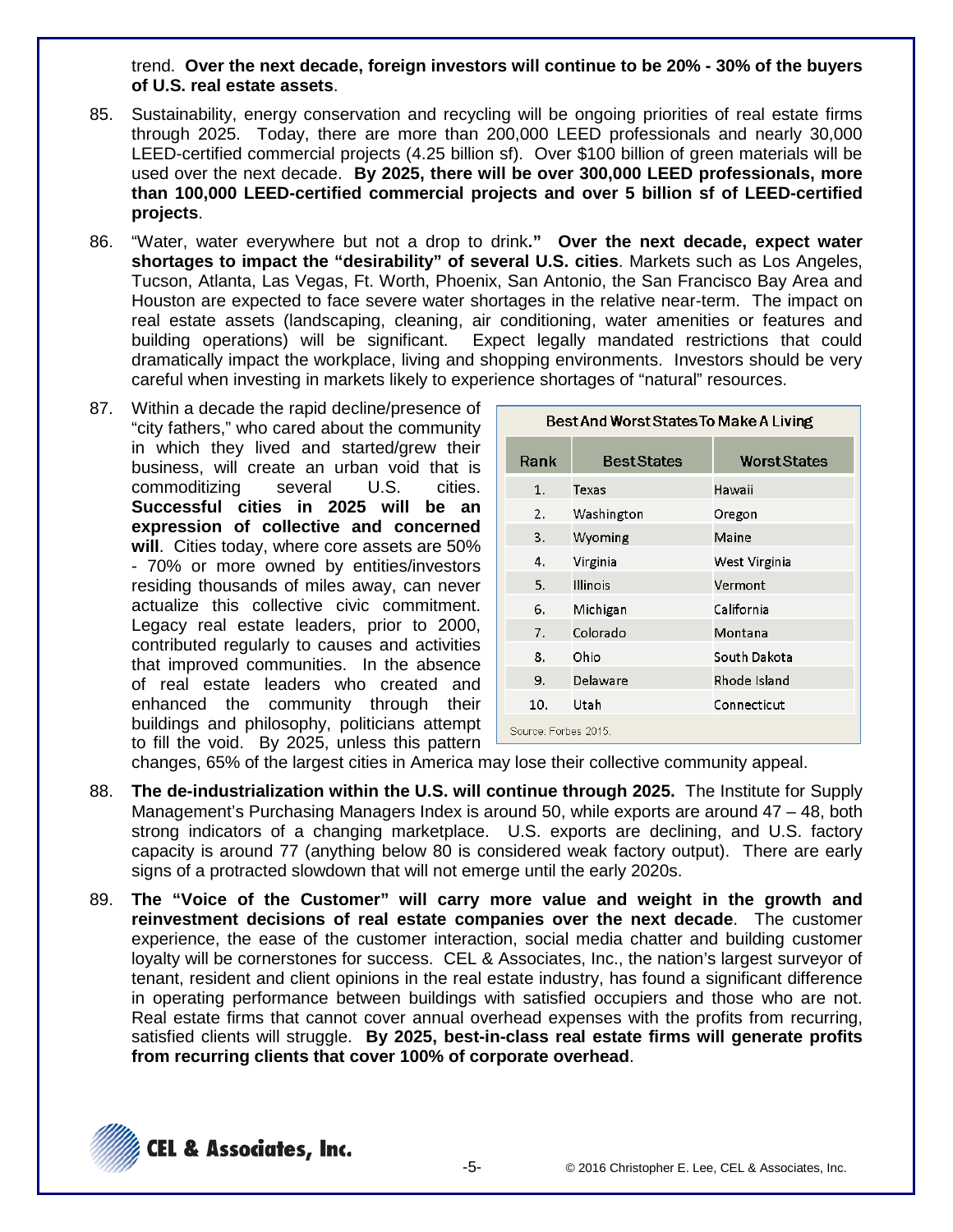trend. **Over the next decade, foreign investors will continue to be 20% - 30% of the buyers of U.S. real estate assets**.

- 85. Sustainability, energy conservation and recycling will be ongoing priorities of real estate firms through 2025. Today, there are more than 200,000 LEED professionals and nearly 30,000 LEED-certified commercial projects (4.25 billion sf). Over \$100 billion of green materials will be used over the next decade. **By 2025, there will be over 300,000 LEED professionals, more than 100,000 LEED-certified commercial projects and over 5 billion sf of LEED-certified projects**.
- 86. "Water, water everywhere but not a drop to drink**." Over the next decade, expect water shortages to impact the "desirability" of several U.S. cities**. Markets such as Los Angeles, Tucson, Atlanta, Las Vegas, Ft. Worth, Phoenix, San Antonio, the San Francisco Bay Area and Houston are expected to face severe water shortages in the relative near-term. The impact on real estate assets (landscaping, cleaning, air conditioning, water amenities or features and building operations) will be significant. Expect legally mandated restrictions that could dramatically impact the workplace, living and shopping environments. Investors should be very careful when investing in markets likely to experience shortages of "natural" resources.
- 87. Within a decade the rapid decline/presence of "city fathers," who cared about the community in which they lived and started/grew their business, will create an urban void that is commoditizing several U.S. cities. **Successful cities in 2025 will be an expression of collective and concerned will**. Cities today, where core assets are 50% - 70% or more owned by entities/investors residing thousands of miles away, can never actualize this collective civic commitment. Legacy real estate leaders, prior to 2000, contributed regularly to causes and activities that improved communities. In the absence of real estate leaders who created and enhanced the community through their buildings and philosophy, politicians attempt to fill the void. By 2025, unless this pattern

| Best And Worst States To Make A Living |                 |                     |  |  |
|----------------------------------------|-----------------|---------------------|--|--|
| Rank                                   | Best States     | <b>Worst States</b> |  |  |
| 1.                                     | Texas           | Hawaii              |  |  |
| 2.                                     | Washington      | Oregon              |  |  |
| 3.                                     | Wyoming         | Maine               |  |  |
| 4.                                     | Virginia        | West Virginia       |  |  |
| 5.                                     | <b>Illinois</b> | Vermont             |  |  |
| 6.                                     | Michigan        | California          |  |  |
| 7.                                     | Colorado        | Montana             |  |  |
| 8.                                     | Ohio            | South Dakota        |  |  |
| 9.                                     | Delaware        | Rhode Island        |  |  |
| 10.                                    | Utah            | Connecticut         |  |  |
| Source: Forbes 2015                    |                 |                     |  |  |

changes, 65% of the largest cities in America may lose their collective community appeal.

- 88. **The de-industrialization within the U.S. will continue through 2025.** The Institute for Supply Management's Purchasing Managers Index is around 50, while exports are around 47 – 48, both strong indicators of a changing marketplace. U.S. exports are declining, and U.S. factory capacity is around 77 (anything below 80 is considered weak factory output). There are early signs of a protracted slowdown that will not emerge until the early 2020s.
- 89. **The "Voice of the Customer" will carry more value and weight in the growth and reinvestment decisions of real estate companies over the next decade**. The customer experience, the ease of the customer interaction, social media chatter and building customer loyalty will be cornerstones for success. CEL & Associates, Inc., the nation's largest surveyor of tenant, resident and client opinions in the real estate industry, has found a significant difference in operating performance between buildings with satisfied occupiers and those who are not. Real estate firms that cannot cover annual overhead expenses with the profits from recurring, satisfied clients will struggle. **By 2025, best-in-class real estate firms will generate profits from recurring clients that cover 100% of corporate overhead**.

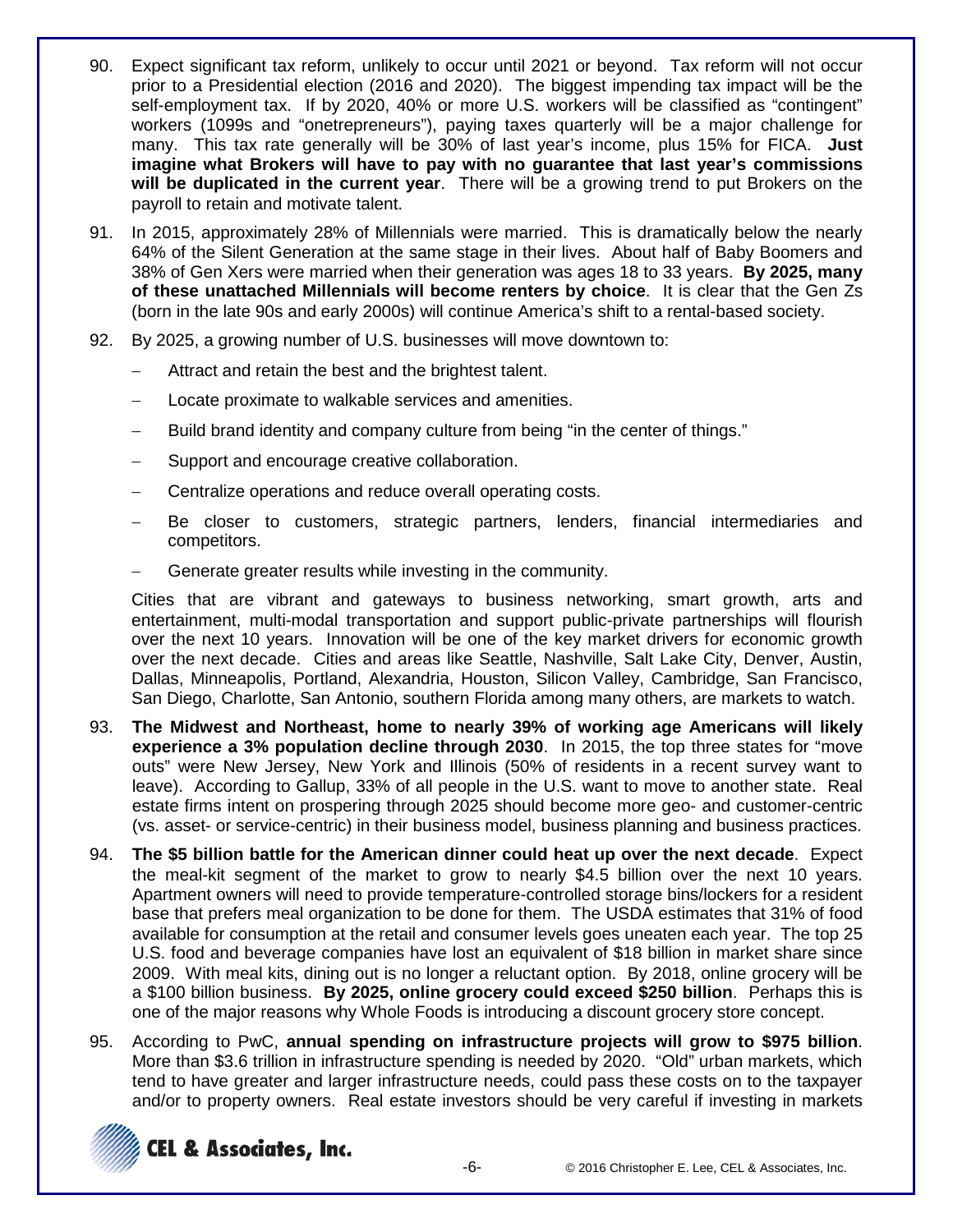- 90. Expect significant tax reform, unlikely to occur until 2021 or beyond. Tax reform will not occur prior to a Presidential election (2016 and 2020). The biggest impending tax impact will be the self-employment tax. If by 2020, 40% or more U.S. workers will be classified as "contingent" workers (1099s and "onetrepreneurs"), paying taxes quarterly will be a major challenge for many. This tax rate generally will be 30% of last year's income, plus 15% for FICA. **Just imagine what Brokers will have to pay with no guarantee that last year's commissions will be duplicated in the current year**. There will be a growing trend to put Brokers on the payroll to retain and motivate talent.
- 91. In 2015, approximately 28% of Millennials were married. This is dramatically below the nearly 64% of the Silent Generation at the same stage in their lives. About half of Baby Boomers and 38% of Gen Xers were married when their generation was ages 18 to 33 years. **By 2025, many of these unattached Millennials will become renters by choice**. It is clear that the Gen Zs (born in the late 90s and early 2000s) will continue America's shift to a rental-based society.
- 92. By 2025, a growing number of U.S. businesses will move downtown to:
	- Attract and retain the best and the brightest talent.
	- Locate proximate to walkable services and amenities.
	- Build brand identity and company culture from being "in the center of things."
	- Support and encourage creative collaboration.
	- − Centralize operations and reduce overall operating costs.
	- Be closer to customers, strategic partners, lenders, financial intermediaries and competitors.
	- Generate greater results while investing in the community.

Cities that are vibrant and gateways to business networking, smart growth, arts and entertainment, multi-modal transportation and support public-private partnerships will flourish over the next 10 years. Innovation will be one of the key market drivers for economic growth over the next decade. Cities and areas like Seattle, Nashville, Salt Lake City, Denver, Austin, Dallas, Minneapolis, Portland, Alexandria, Houston, Silicon Valley, Cambridge, San Francisco, San Diego, Charlotte, San Antonio, southern Florida among many others, are markets to watch.

- 93. **The Midwest and Northeast, home to nearly 39% of working age Americans will likely experience a 3% population decline through 2030**. In 2015, the top three states for "move outs" were New Jersey, New York and Illinois (50% of residents in a recent survey want to leave). According to Gallup, 33% of all people in the U.S. want to move to another state. Real estate firms intent on prospering through 2025 should become more geo- and customer-centric (vs. asset- or service-centric) in their business model, business planning and business practices.
- 94. **The \$5 billion battle for the American dinner could heat up over the next decade**. Expect the meal-kit segment of the market to grow to nearly \$4.5 billion over the next 10 years. Apartment owners will need to provide temperature-controlled storage bins/lockers for a resident base that prefers meal organization to be done for them. The USDA estimates that 31% of food available for consumption at the retail and consumer levels goes uneaten each year. The top 25 U.S. food and beverage companies have lost an equivalent of \$18 billion in market share since 2009. With meal kits, dining out is no longer a reluctant option. By 2018, online grocery will be a \$100 billion business. **By 2025, online grocery could exceed \$250 billion**. Perhaps this is one of the major reasons why Whole Foods is introducing a discount grocery store concept.
- 95. According to PwC, **annual spending on infrastructure projects will grow to \$975 billion**. More than \$3.6 trillion in infrastructure spending is needed by 2020. "Old" urban markets, which tend to have greater and larger infrastructure needs, could pass these costs on to the taxpayer and/or to property owners. Real estate investors should be very careful if investing in markets

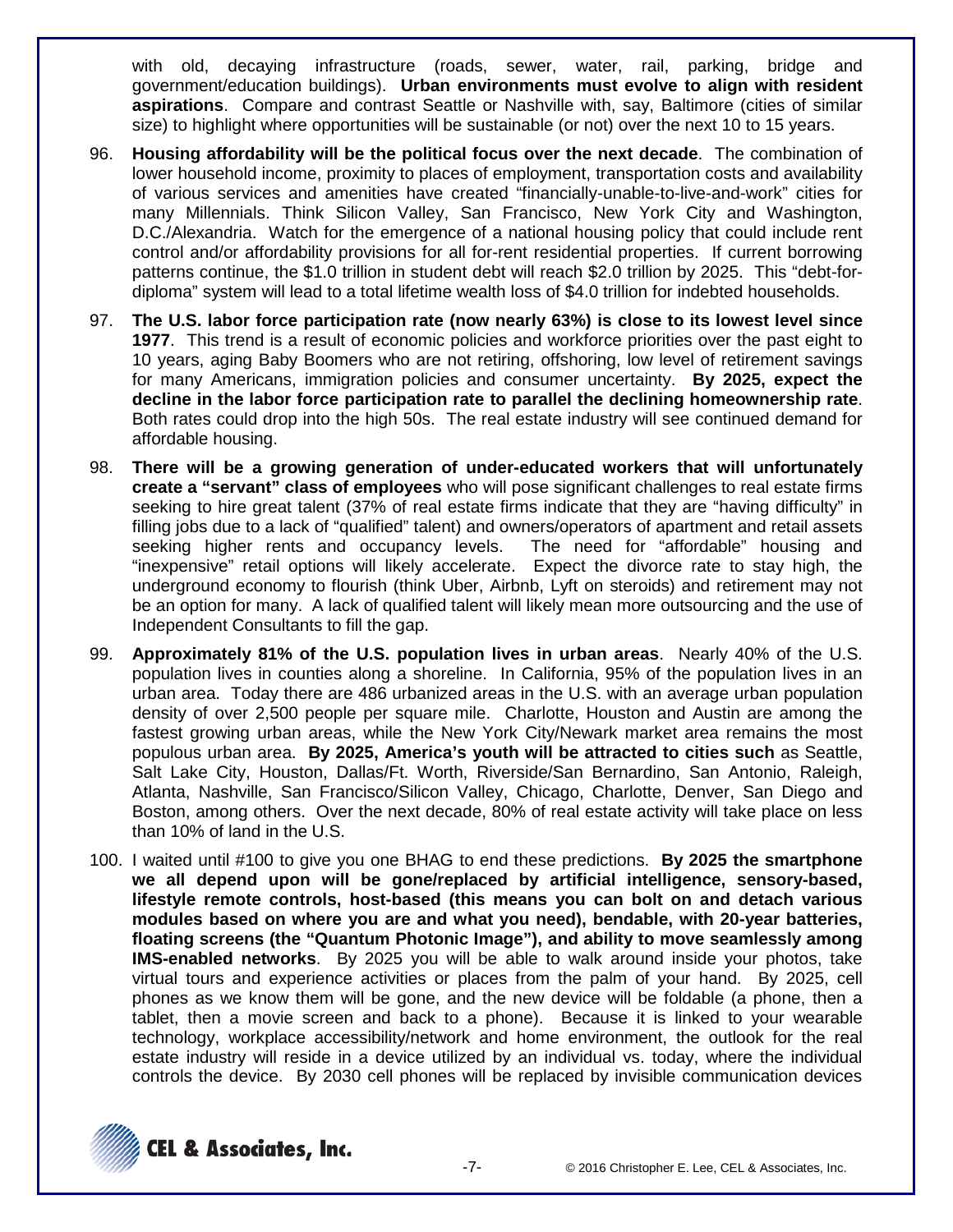with old, decaying infrastructure (roads, sewer, water, rail, parking, bridge and government/education buildings). **Urban environments must evolve to align with resident aspirations**. Compare and contrast Seattle or Nashville with, say, Baltimore (cities of similar size) to highlight where opportunities will be sustainable (or not) over the next 10 to 15 years.

- 96. **Housing affordability will be the political focus over the next decade**. The combination of lower household income, proximity to places of employment, transportation costs and availability of various services and amenities have created "financially-unable-to-live-and-work" cities for many Millennials. Think Silicon Valley, San Francisco, New York City and Washington, D.C./Alexandria. Watch for the emergence of a national housing policy that could include rent control and/or affordability provisions for all for-rent residential properties. If current borrowing patterns continue, the \$1.0 trillion in student debt will reach \$2.0 trillion by 2025. This "debt-fordiploma" system will lead to a total lifetime wealth loss of \$4.0 trillion for indebted households.
- 97. **The U.S. labor force participation rate (now nearly 63%) is close to its lowest level since 1977**. This trend is a result of economic policies and workforce priorities over the past eight to 10 years, aging Baby Boomers who are not retiring, offshoring, low level of retirement savings for many Americans, immigration policies and consumer uncertainty. **By 2025, expect the decline in the labor force participation rate to parallel the declining homeownership rate**. Both rates could drop into the high 50s. The real estate industry will see continued demand for affordable housing.
- 98. **There will be a growing generation of under-educated workers that will unfortunately create a "servant" class of employees** who will pose significant challenges to real estate firms seeking to hire great talent (37% of real estate firms indicate that they are "having difficulty" in filling jobs due to a lack of "qualified" talent) and owners/operators of apartment and retail assets<br>seeking higher rents and occupancy levels. The need for "affordable" housing and seeking higher rents and occupancy levels. "inexpensive" retail options will likely accelerate. Expect the divorce rate to stay high, the underground economy to flourish (think Uber, Airbnb, Lyft on steroids) and retirement may not be an option for many. A lack of qualified talent will likely mean more outsourcing and the use of Independent Consultants to fill the gap.
- 99. **Approximately 81% of the U.S. population lives in urban areas**. Nearly 40% of the U.S. population lives in counties along a shoreline. In California, 95% of the population lives in an urban area. Today there are 486 urbanized areas in the U.S. with an average urban population density of over 2,500 people per square mile. Charlotte, Houston and Austin are among the fastest growing urban areas, while the New York City/Newark market area remains the most populous urban area. **By 2025, America's youth will be attracted to cities such** as Seattle, Salt Lake City, Houston, Dallas/Ft. Worth, Riverside/San Bernardino, San Antonio, Raleigh, Atlanta, Nashville, San Francisco/Silicon Valley, Chicago, Charlotte, Denver, San Diego and Boston, among others. Over the next decade, 80% of real estate activity will take place on less than 10% of land in the U.S.
- 100. I waited until #100 to give you one BHAG to end these predictions. **By 2025 the smartphone we all depend upon will be gone/replaced by artificial intelligence, sensory-based, lifestyle remote controls, host-based (this means you can bolt on and detach various modules based on where you are and what you need), bendable, with 20-year batteries, floating screens (the "Quantum Photonic Image"), and ability to move seamlessly among IMS-enabled networks**. By 2025 you will be able to walk around inside your photos, take virtual tours and experience activities or places from the palm of your hand. By 2025, cell phones as we know them will be gone, and the new device will be foldable (a phone, then a tablet, then a movie screen and back to a phone). Because it is linked to your wearable technology, workplace accessibility/network and home environment, the outlook for the real estate industry will reside in a device utilized by an individual vs. today, where the individual controls the device. By 2030 cell phones will be replaced by invisible communication devices

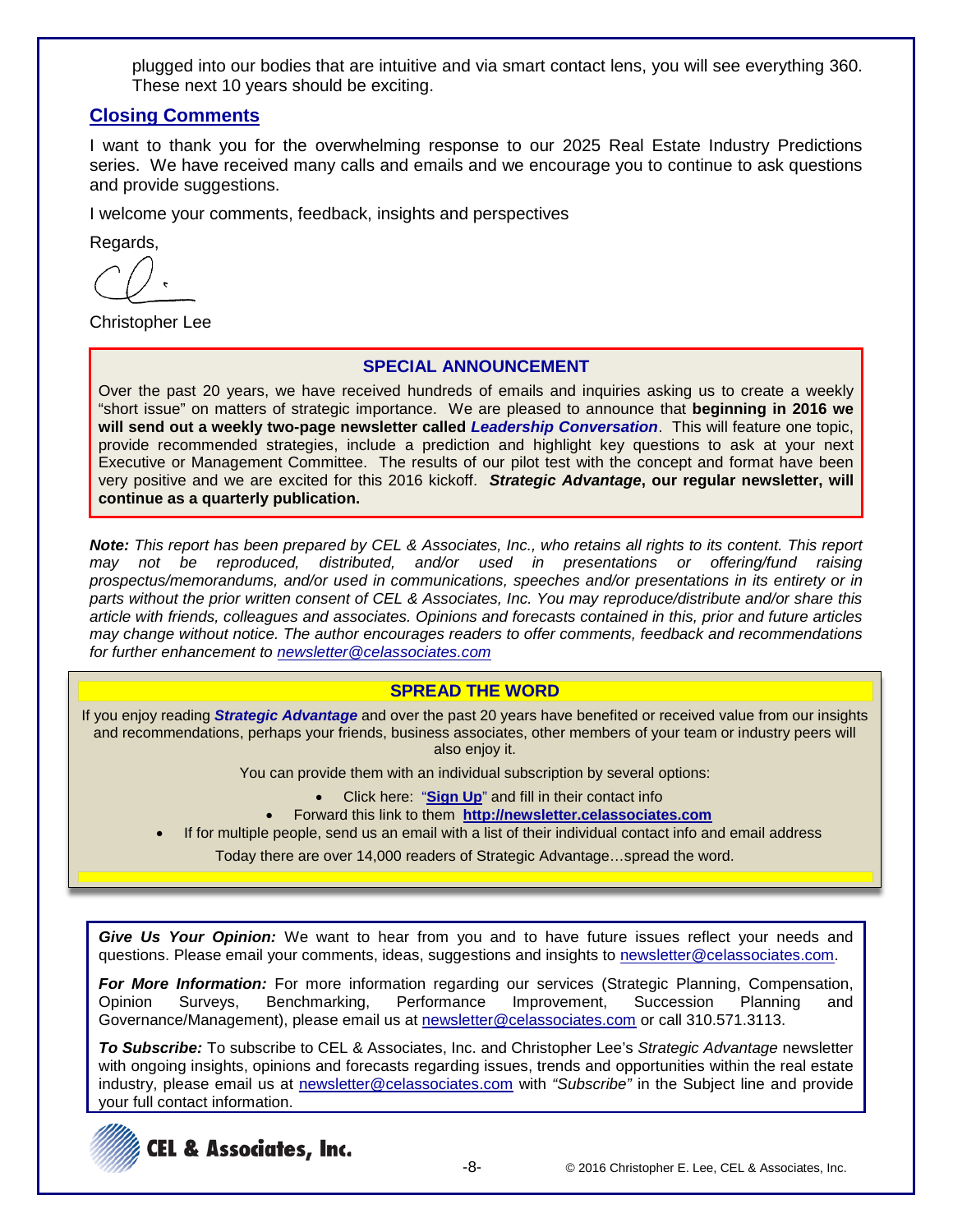plugged into our bodies that are intuitive and via smart contact lens, you will see everything 360. These next 10 years should be exciting.

# **Closing Comments**

I want to thank you for the overwhelming response to our 2025 Real Estate Industry Predictions series. We have received many calls and emails and we encourage you to continue to ask questions and provide suggestions.

I welcome your comments, feedback, insights and perspectives

Regards,

Christopher Lee

## **SPECIAL ANNOUNCEMENT**

Over the past 20 years, we have received hundreds of emails and inquiries asking us to create a weekly "short issue" on matters of strategic importance. We are pleased to announce that **beginning in 2016 we will send out a weekly two-page newsletter called** *Leadership Conversation*. This will feature one topic, provide recommended strategies, include a prediction and highlight key questions to ask at your next Executive or Management Committee. The results of our pilot test with the concept and format have been very positive and we are excited for this 2016 kickoff. *Strategic Advantage***, our regular newsletter, will continue as a quarterly publication.**

*Note: This report has been prepared by CEL & Associates, Inc., who retains all rights to its content. This report*  distributed, and/or used in presentations or offering/fund raising *prospectus/memorandums, and/or used in communications, speeches and/or presentations in its entirety or in parts without the prior written consent of CEL & Associates, Inc. You may reproduce/distribute and/or share this article with friends, colleagues and associates. Opinions and forecasts contained in this, prior and future articles may change without notice. The author encourages readers to offer comments, feedback and recommendations for further enhancement to [newsletter@celassociates.com](mailto:newsletter@celassociates.com)*

## **SPREAD THE WORD**

If you enjoy reading *Strategic Advantage* and over the past 20 years have benefited or received value from our insights and recommendations, perhaps your friends, business associates, other members of your team or industry peers will also enjoy it.

You can provide them with an individual subscription by several options:

- Click here: "**[Sign Up](http://newsletter.celassociates.com/)**" and fill in their contact info
- Forward this link to them **http://newsletter.celassociates.com**
- If for multiple people, send us an email with a list of their individual contact info and email address

Today there are over 14,000 readers of Strategic Advantage…spread the word.

*Give Us Your Opinion:* We want to hear from you and to have future issues reflect your needs and questions. Please email your comments, ideas, suggestions and insights to newsletter@celassociates.com.

*For More Information:* For more information regarding our services (Strategic Planning, Compensation, Opinion Surveys, Benchmarking, Performance Improvement, Succession Planning and Governance/Management), please email us at newsletter@celassociates.com or call 310.571.3113.

*To Subscribe:* To subscribe to CEL & Associates, Inc. and Christopher Lee's *Strategic Advantage* newsletter with ongoing insights, opinions and forecasts regarding issues, trends and opportunities within the real estate industry, please email us at newsletter@celassociates.com with "Subscribe" in the Subject line and provide your full contact information.

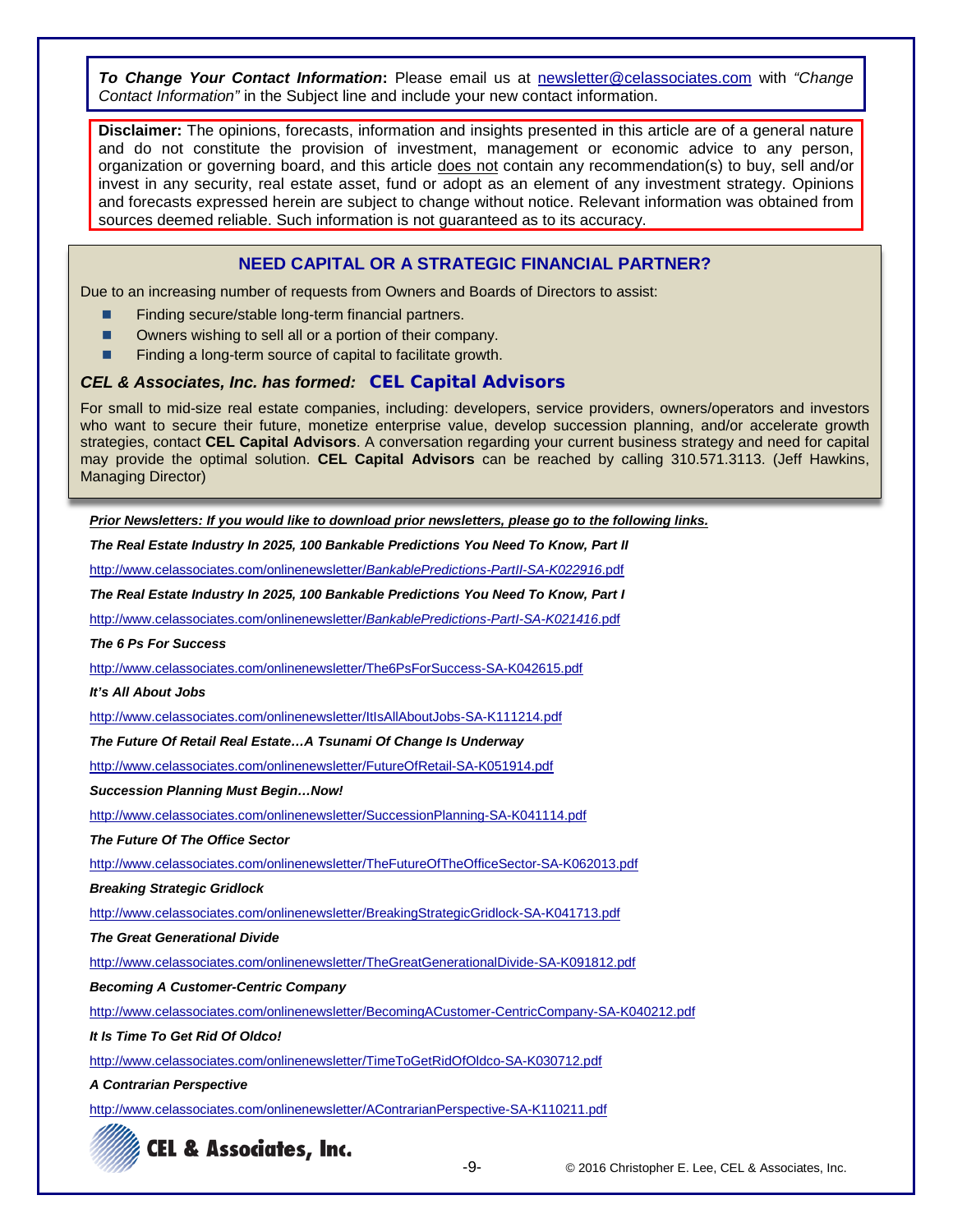*To Change Your Contact Information***:** Please email us at newsletter@celassociates.com with *"Change Contact Information"* in the Subject line and include your new contact information.

**Disclaimer:** The opinions, forecasts, information and insights presented in this article are of a general nature and do not constitute the provision of investment, management or economic advice to any person, organization or governing board, and this article does not contain any recommendation(s) to buy, sell and/or invest in any security, real estate asset, fund or adopt as an element of any investment strategy. Opinions and forecasts expressed herein are subject to change without notice. Relevant information was obtained from sources deemed reliable. Such information is not guaranteed as to its accuracy.

### **NEED CAPITAL OR A STRATEGIC FINANCIAL PARTNER?**

Due to an increasing number of requests from Owners and Boards of Directors to assist:

- Finding secure/stable long-term financial partners.
- Owners wishing to sell all or a portion of their company.
- Finding a long-term source of capital to facilitate growth.

#### *CEL & Associates, Inc. has formed:* **CEL Capital Advisors**

For small to mid-size real estate companies, including: developers, service providers, owners/operators and investors who want to secure their future, monetize enterprise value, develop succession planning, and/or accelerate growth strategies, contact **CEL Capital Advisors**. A conversation regarding your current business strategy and need for capital may provide the optimal solution. **CEL Capital Advisors** can be reached by calling 310.571.3113. (Jeff Hawkins, Managing Director)

*Prior Newsletters: If you would like to download prior newsletters, please go to the following links.*

*The Real Estate Industry In 2025, 100 Bankable Predictions You Need To Know, Part II*

http://www.celassociates.com/onlinenewsletter/*BankablePredictions-PartII-SA-K022916*.pdf

*The Real Estate Industry In 2025, 100 Bankable Predictions You Need To Know, Part I*

http://www.celassociates.com/onlinenewsletter/*BankablePredictions-PartI-SA-K021416*.pdf

*The 6 Ps For Success*

http://www.celassociates.com/onlinenewsletter/The6PsForSuccess-SA-K042615.pdf

#### *It's All About Jobs*

http://www.celassociates.com/onlinenewsletter/ItIsAllAboutJobs-SA-K111214.pdf

*The Future Of Retail Real Estate…A Tsunami Of Change Is Underway*

<http://www.celassociates.com/onlinenewsletter/FutureOfRetail-SA-K051914.pdf>

*Succession Planning Must Begin…Now!*

http://www.celassociates.com/onlinenewsletter/SuccessionPlanning-SA-K041114.pdf

*The Future Of The Office Sector*

http://www.celassociates.com/onlinenewsletter/TheFutureOfTheOfficeSector-SA-K062013.pdf

*Breaking Strategic Gridlock*

http://www.celassociates.com/onlinenewsletter/BreakingStrategicGridlock-SA-K041713.pdf

*The Great Generational Divide*

http://www.celassociates.com/onlinenewsletter/TheGreatGenerationalDivide-SA-K091812.pdf

*Becoming A Customer-Centric Company*

http://www.celassociates.com/onlinenewsletter/BecomingACustomer-CentricCompany-SA-K040212.pdf

*It Is Time To Get Rid Of Oldco!*

http://www.celassociates.com/onlinenewsletter/TimeToGetRidOfOldco-SA-K030712.pdf

*A Contrarian Perspective*

http://www.celassociates.com/onlinenewsletter/AContrarianPerspective-SA-K110211.pdf



-9- © 2016 Christopher E. Lee, CEL & Associates, Inc.